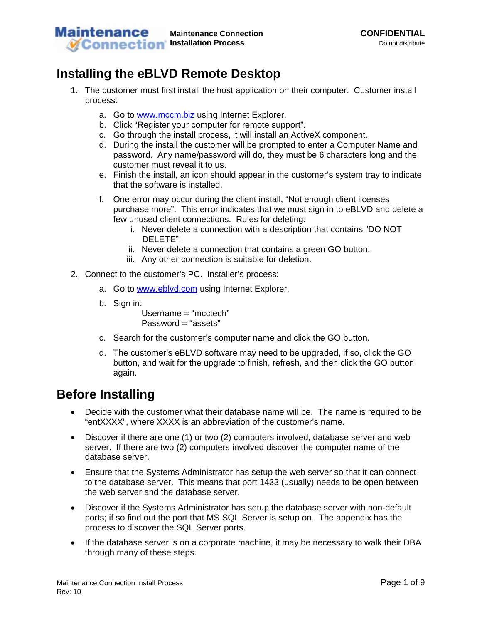

## **Installing the eBLVD Remote Desktop**

- 1. The customer must first install the host application on their computer. Customer install process:
	- a. Go to [www.mccm.biz](http://www.mccm.biz/) using Internet Explorer.
	- b. Click "Register your computer for remote support".
	- c. Go through the install process, it will install an ActiveX component.
	- d. During the install the customer will be prompted to enter a Computer Name and password. Any name/password will do, they must be 6 characters long and the customer must reveal it to us.
	- e. Finish the install, an icon should appear in the customer's system tray to indicate that the software is installed.
	- f. One error may occur during the client install, "Not enough client licenses purchase more". This error indicates that we must sign in to eBLVD and delete a few unused client connections. Rules for deleting:
		- i. Never delete a connection with a description that contains "DO NOT DELETE"!
		- ii. Never delete a connection that contains a green GO button.
		- iii. Any other connection is suitable for deletion.
- 2. Connect to the customer's PC. Installer's process:
	- a. Go to www.eblyd.com using Internet Explorer.
	- b. Sign in:

Username = "mcctech "  $Password = "assets"$ 

- c. Search for the customer's computer name and click the GO button.
- d. The customer's eBLVD software may need to be upgraded, if so, click the GO button, and wait for the upgrade to finish, refresh, and then click the GO button again.

## **Before Installing**

- Decide with the customer what their database name will be. The name is required to be "entXXXX", where XXXX is an abbreviation of the customer's name.
- Discover if there are one (1) or two (2) computers involved, database server and web server. If there are two (2) computers involved discover the computer name of the database server.
- Ensure that the Systems Administrator has setup the web server so that it can connect to the database server. This means that port 1433 (usually) needs to be open between the web server and the database server.
- Discover if the Systems Administrator has setup the database server with non-default ports; if so find out the port that MS SQL Server is setup on. The appendix has the process to discover the SQL Server ports.
- If the database server is on a corporate machine, it may be necessary to walk their DBA through many of these steps.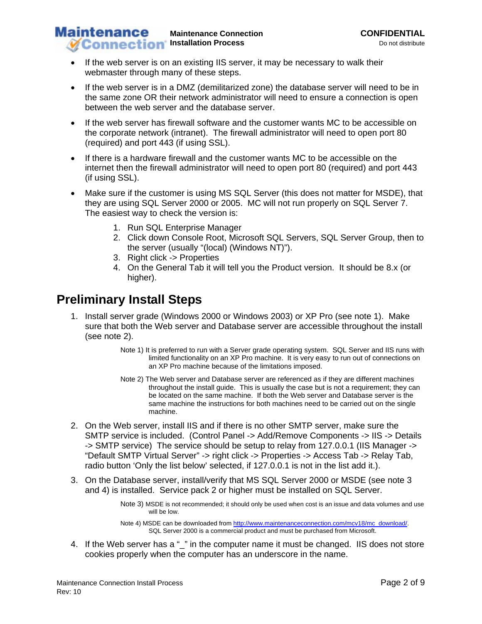- If the web server is on an existing IIS server, it may be necessary to walk their webmaster through many of these steps.
- If the web server is in a DMZ (demilitarized zone) the database server will need to be in the same zone OR their network administrator will need to ensure a connection is open between the web server and the database server.
- If the web server has firewall software and the customer wants MC to be accessible on the corporate network (intranet). The firewall administrator will need to open port 80 (required) and port 443 (if using SSL).
- If there is a hardware firewall and the customer wants MC to be accessible on the internet then the firewall administrator will need to open port 80 (required) and port 443 (if using SSL).
- Make sure if the customer is using MS SQL Server (this does not matter for MSDE), that they are using SQL Server 2000 or 2005. MC will not run properly on SQL Server 7. The easiest way to check the version is:
	- 1. Run SQL Enterprise Manager
	- 2. Click down Console Root, Microsoft SQL Servers, SQL Server Group, then to the server (usually "(local) (Windows NT)").
	- 3. Right click -> Properties
	- 4. On the General Tab it will tell you the Product version. It should be 8.x (or higher).

## **Preliminary Install Steps**

- 1. Install server grade (Windows 2000 or Windows 2003) or XP Pro (see note 1). Make sure that both the Web server and Database server are accessible throughout the install (see note 2).
	- Note 1) It is preferred to run with a Server grade operating system. SQL Server and IIS runs with limited functionality on an XP Pro machine. It is very easy to run out of connections on an XP Pro machine because of the limitations imposed.
	- Note 2) The Web server and Database server are referenced as if they are different machines throughout the install guide. This is usually the case but is not a requirement; they can be located on the same machine. If both the Web server and Database server is the same machine the instructions for both machines need to be carried out on the single machine.
- 2. On the Web server, install IIS and if there is no other SMTP server, make sure the SMTP service is included. (Control Panel -> Add/Remove Components -> IIS -> Details -> SMTP service) The service should be setup to relay from 127.0.0.1 (IIS Manager -> "Default SMTP Virtual Server" -> right click -> Properties -> Access Tab -> Relay Tab, radio button 'Only the list below' selected, if 127.0.0.1 is not in the list add it.).
- 3. On the Database server, install/verify that MS SQL Server 2000 or MSDE (see note 3 and 4) is installed. Service pack 2 or higher must be installed on SQL Server.

Note 3) MSDE is not recommended; it should only be used when cost is an issue and data volumes and use will be low.

Note 4) MSDE can be downloaded from [http://www.maintenanceconnection.com/mcv18/mc\\_download/.](http://www.maintenanceconnection.com/mcv18/mc_download/) SQL Server 2000 is a commercial product and must be purchased from Microsoft.

4. If the Web server has a " " in the computer name it must be changed. IIS does not store cookies properly when the computer has an underscore in the name.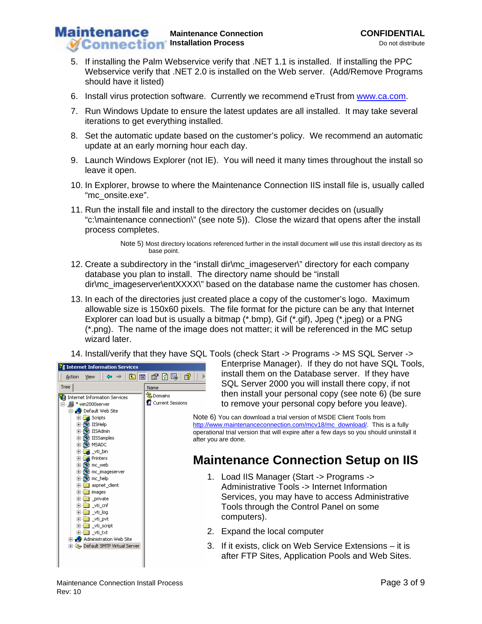- 5. If installing the Palm Webservice verify that .NET 1.1 is installed. If installing the PPC Webservice verify that .NET 2.0 is installed on the Web server. (Add/Remove Programs should have it listed)
- 6. Install virus protection software. Currently we recommend eTrust from [www.ca.com.](http://www.ca.com/)
- 7. Run Windows Update to ensure the latest updates are all installed. It may take several iterations to get everything installed.
- 8. Set the automatic update based on the customer's policy. We recommend an automatic update at an early morning hour each day.
- 9. Launch Windows Explorer (not IE). You will need it many times throughout the install so leave it open.
- 10. In Explorer, browse to where the Maintenance Connection IIS install file is, usually called "mc\_onsite.exe".
- 11. Run the install file and install to the directory the customer decides on (usually "c:\maintenance connection\" (see note 5)). Close the wizard that opens after the install process completes.

Note 5) Most directory locations referenced further in the install document will use this install directory as its base point.

- 12. Create a subdirectory in the "install dir\mc\_imageserver\" directory for each company database you plan to install. The directory name should be "install dir\mc\_imageserver\entXXXX\" based on the database name the customer has chosen.
- 13. In each of the directories just created place a copy of the customer's logo. Maximum allowable size is 150x60 pixels. The file format for the picture can be any that Internet Explorer can load but is usually a bitmap (\*.bmp), Gif (\*.gif), Jpeg (\*.jpeg) or a PNG (\*.png). The name of the image does not matter; it will be referenced in the MC setup wizard later.
- 14. Install/verify that they have SQL Tools (check Start -> Programs -> MS SQL Server ->



Enterprise Manager). If they do not have SQL Tools, install them on the Database server. If they have SQL Server 2000 you will install there copy, if not then install your personal copy (see note 6) (be sure to remove your personal copy before you leave).

Note 6) You can download a trial version of MSDE Client Tools from [http://www.maintenanceconnection.com/mcv18/mc\\_download/](http://www.maintenanceconnection.com/mcv18/mc_download/). This is a fully operational trial version that will expire after a few days so you should uninstall it

## **Maintenance Connection Setup on IIS**

- 1. Load IIS Manager (Start -> Programs -> Administrative Tools -> Internet Information Services, you may have to access Administrative Tools through the Control Panel on some computers).
- 2. Expand the local computer
- 3. If it exists, click on Web Service Extensions it is after FTP Sites, Application Pools and Web Sites.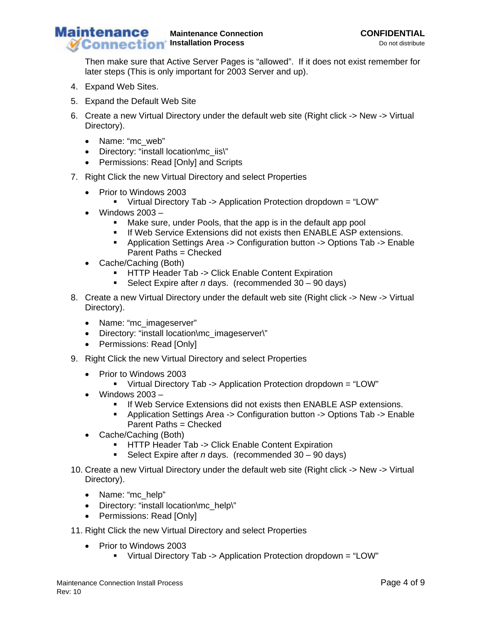Then make sure that Active Server Pages is "allowed". If it does not exist remember for later steps (This is only important for 2003 Server and up).

- 4. Expand Web Sites.
- 5. Expand the Default Web Site
- 6. Create a new Virtual Directory under the default web site (Right click -> New -> Virtual Directory).
	- Name: "mc\_web"
	- Directory: "install location\mc\_iis\"
	- Permissions: Read [Only] and Scripts
- 7. Right Click the new Virtual Directory and select Properties
	- Prior to Windows 2003
		- Virtual Directory Tab -> Application Protection dropdown = "LOW"
	- Windows 2003
		- Make sure, under Pools, that the app is in the default app pool
		- **If Web Service Extensions did not exists then ENABLE ASP extensions.**
		- Application Settings Area -> Configuration button -> Options Tab -> Enable Parent Paths = Checked
	- Cache/Caching (Both)
		- **-** HTTP Header Tab -> Click Enable Content Expiration
		- Select Expire after *n* days. (recommended 30 90 days)
- 8. Create a new Virtual Directory under the default web site (Right click -> New -> Virtual Directory).
	- Name: "mc\_imageserver"
	- Directory: "install location\mc\_imageserver\"
	- Permissions: Read [Only]
- 9. Right Click the new Virtual Directory and select Properties
	- Prior to Windows 2003
		- Virtual Directory Tab -> Application Protection dropdown = "LOW"
	- Windows 2003
		- **If Web Service Extensions did not exists then ENABLE ASP extensions.**
		- Application Settings Area -> Configuration button -> Options Tab -> Enable Parent Paths = Checked
	- Cache/Caching (Both)
		- **-** HTTP Header Tab -> Click Enable Content Expiration
		- Select Expire after *n* days. (recommended 30 90 days)
- 10. Create a new Virtual Directory under the default web site (Right click -> New -> Virtual Directory).
	- Name: "mc\_help"
	- Directory: "install location\mc\_help\"
	- Permissions: Read [Only]
- 11. Right Click the new Virtual Directory and select Properties
	- Prior to Windows 2003
		- Virtual Directory Tab -> Application Protection dropdown = "LOW"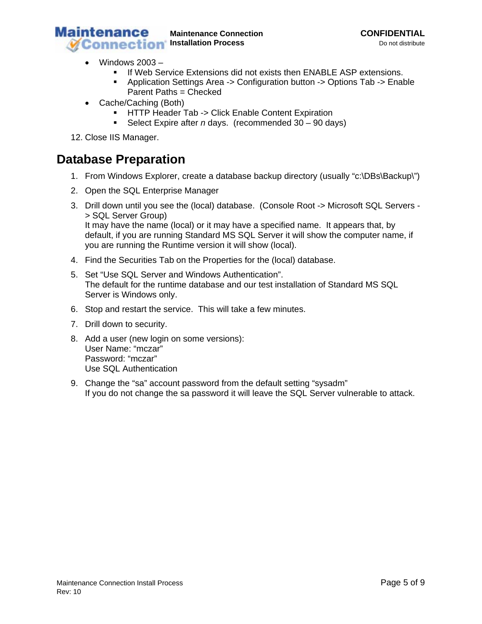

- Windows 2003
	- **If Web Service Extensions did not exists then ENABLE ASP extensions.**
	- Application Settings Area -> Configuration button -> Options Tab -> Enable Parent Paths = Checked
- Cache/Caching (Both)
	- **-** HTTP Header Tab -> Click Enable Content Expiration
	- Select Expire after *n* days. (recommended 30 90 days)
- 12. Close IIS Manager.

## **Database Preparation**

- 1. From Windows Explorer, create a database backup directory (usually "c:\DBs\Backup\")
- 2. Open the SQL Enterprise Manager
- 3. Drill down until you see the (local) database. (Console Root -> Microsoft SQL Servers > SQL Server Group) It may have the name (local) or it may have a specified name. It appears that, by default, if you are running Standard MS SQL Server it will show the computer name, if you are running the Runtime version it will show (local).
- 4. Find the Securities Tab on the Properties for the (local) database.
- 5. Set "Use SQL Server and Windows Authentication". The default for the runtime database and our test installation of Standard MS SQL Server is Windows only.
- 6. Stop and restart the service. This will take a few minutes.
- 7. Drill down to security.
- 8. Add a user (new login on some versions): User Name: "mczar" Password: "mczar" Use SQL Authentication
- 9. Change the "sa" account password from the default setting "sysadm" If you do not change the sa password it will leave the SQL Server vulnerable to attack.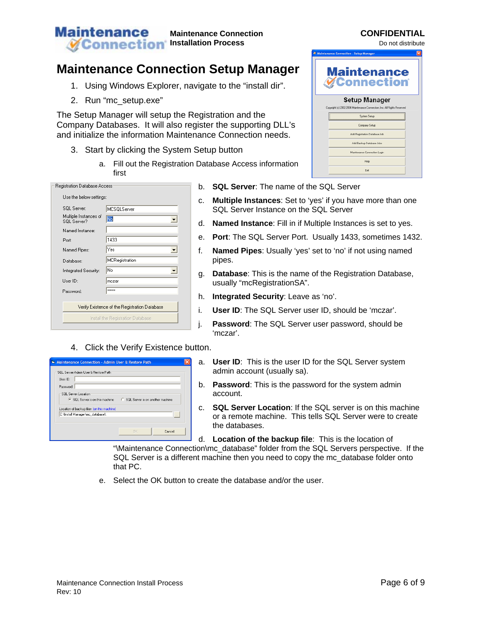## **Maintenance Connection Setup Manager**

- 1. Using Windows Explorer, navigate to the "install dir".
- 2. Run "mc\_setup.exe"

The Setup Manager will setup the Registration and the Company Databases. It will also register the supporting DLL's and initialize the information Maintenance Connection needs.

- 3. Start by clicking the System Setup button
	- a. Fill out the Registration Database first

| Registration Database Access                  |                |  |
|-----------------------------------------------|----------------|--|
| Use the below settings:                       |                |  |
| SQL Server:                                   | MCSQLServer    |  |
| Multiple Instances of<br>SQL Server?          | No             |  |
| Named Instance:                               |                |  |
| Port:                                         | 1433           |  |
| Named Pipes:                                  | Yes            |  |
| Database:                                     | MCRegistration |  |
| Integrated Security:                          | No             |  |
| User ID:                                      | mczar          |  |
| <b>Password:</b>                              | wwww           |  |
|                                               |                |  |
| Verify Existence of the Registration Database |                |  |
| Install the Registration Database             |                |  |
|                                               |                |  |

### 4. Click the Verify Existence button.

| Maintenance Connection - Admin User & Restore Path                                    |                                                                    |
|---------------------------------------------------------------------------------------|--------------------------------------------------------------------|
| SQL Server Admin User & Restore Path<br>Liser ID:<br>Password:<br>SQL Server Location | • SQL Server is on this machine ● SQL Server is on another machine |
| Location of backup files (on this machine)<br>C:\Install Manager\mc_database\         | 1.11                                                               |
|                                                                                       | Cancel<br><b>DK</b>                                                |

- b. **SQL Server:** The name of the SQL Server
- c. Multiple Instances: Set to 'yes' if you have more than one SQL Server Instance on the SQL Server
- d. **Named Instance**: Fill in if Multiple Instances is set to yes.
- . e. **Port**: The SQL Server Port. Usually 1433, sometimes 1432
- f. **Named Pipes**: Usually 'yes' set to 'no' if not using named pipes.
- **se**: This is the name of the Registration Database, g. **Databa** usually "mcRegistrationSA".
- h. **Integrated Security**: Leave as 'no'.
- i. User ID: The SQL Server user ID, should be 'mczar'.
- j. **Password**: The SQL Server user password, should be 'mczar'.
- a. User ID: This is the user ID for the SQL Server system admin account (usually sa).
- b. **Password**: This is the password for the system admin account.
- c. **SQL Server Location**: If the SQL server is on this machine or a remote machine. This tells SQL Server were to create the databases.

d. Location of the backup file: This is the location of "\Maintenance Connection\mc\_database" folder from the SQL Servers perspective. If the SQL Server is a different machine then you need to copy the mc\_database folder onto that PC.

e. Select the OK button to create the database and/or the user.

| e Access information |  |
|----------------------|--|
|                      |  |
|                      |  |

| <b>Maintenance Connection - Setup Manager</b>                                                    |  |
|--------------------------------------------------------------------------------------------------|--|
| <b>Maintenance</b><br><b>WConnection</b>                                                         |  |
| <b>Setup Manager</b><br>Copyright (c) 2002-2004 Maintenance Connection, Inc. All Rights Reserved |  |
| Sustem Setup                                                                                     |  |
| Company Setup                                                                                    |  |
| Add Registration Database Job                                                                    |  |
| Add Backup Database Jobs                                                                         |  |
| Maintenance Connection Login                                                                     |  |
| Help                                                                                             |  |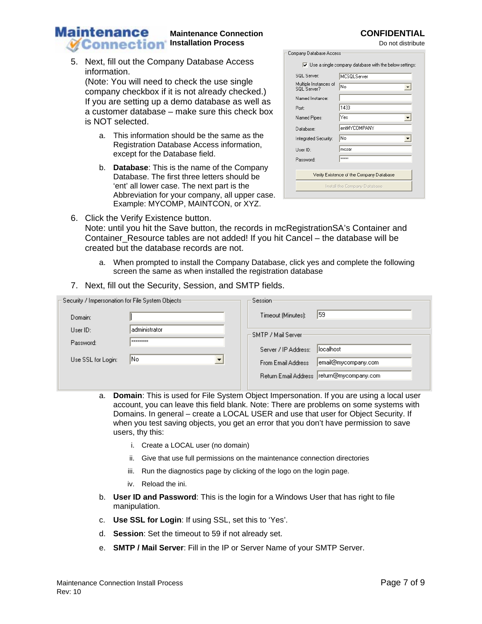# 6. Click the Verify Existence button.

**Maintenance** 

Note: until you hit the Save button, the records in mcRegistrationSA's Container and Container\_Resource tables are not added! If you hit Cancel – the database will be created but the database records are not.

- a. When prompted to install the Company Database, click yes and complete the following screen the same as when installed the registration database
- 7. Next, fill out the Security, Session, and SMTP fields.

| Security / Impersonation for File System Objects:       | Session:                                   |
|---------------------------------------------------------|--------------------------------------------|
| Domain:                                                 | 159<br>Timeout (Minutes):                  |
| administrator<br>Use <sub>1D</sub> :<br><b>XXXXXXXX</b> | 'SMTP / Mail Server                        |
| Password:                                               | llocalhost<br>Server / IP Address:         |
| lNo.<br>Use SSL for Login:                              | email@mycompany.com <br>From Email Address |
|                                                         | Return Email Address  return@mycompany.com |

- a. **Domain**: This is used for File System Object Impersonation. If you are using a local user account, you can leave this field blank. Note: There are problems on some systems with Domains. In general – create a LOCAL USER and use that user for Object Security. If when you test saving objects, you get an error that you don't have permission to save users, thy this:
	- i. Create a LOCAL user (no domain)
	- ii. Give that use full permissions on the maintenance connection directories
	- iii. Run the diagnostics page by clicking of the logo on the login page.
	- iv. Reload the ini.
- b. **User ID and Password**: This is the login for a Windows User that has right to file manipulation.
- c. Use SSL for Login: If using SSL, set this to 'Yes'.
- d. **Session**: Set the timeout to 59 if not already set.
- e. **SMTP / Mail Server**: Fill in the IP or Server Name of your SMTP Server.

a. This information should be the same as the Registration Database Access information,

b. **Database**: This is the name of the Company Database. The first three letters should be 'ent' all lower case. The next part is the Abbreviation for your company, all upper case. Example: MYCOMP, MAINTCON, or XYZ.

except for the Database field.

| SQL Server:                              | MCSQLServer  |
|------------------------------------------|--------------|
| Multiple Instances of<br>SQL Server?     | No           |
| Named Instance:                          |              |
| Port:                                    | 1433         |
| Named Pipes:                             | Yes          |
| Database:                                | entMYCOMPANY |
| Integrated Security:                     | No           |
| User ID:                                 | mczar        |
| Password:                                | <b>xxxxx</b> |
|                                          |              |
| Verify Existence of the Company Database |              |
| Install the Company Database             |              |

**IT** Heels single company detabase with the below setting

Company Database Access-

#### **Maintenance Connection CONFIDENTIAL**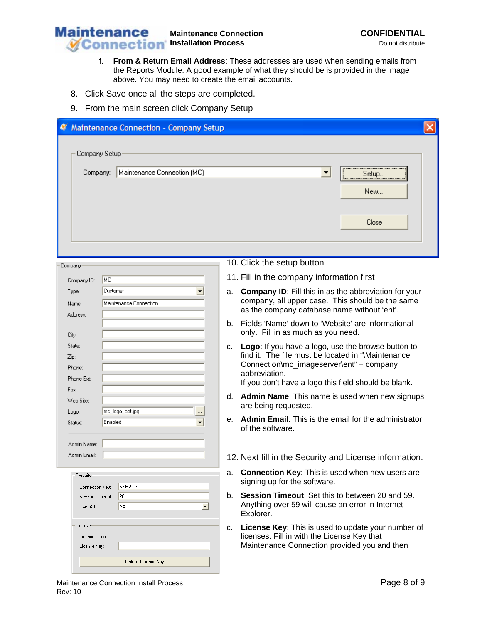

- f. **From & Return Email Address**: These addresses are used when sending emails from the Reports Module. A good example of what they should be is provided in the image above. You may need to create the email accounts.
- 8. Click Save once all the steps are completed.
- 9. From the main screen click Company Setup

| <b>Maintenance Connection - Company Setup</b>                               |                                                                                                                                                                                                                                    |
|-----------------------------------------------------------------------------|------------------------------------------------------------------------------------------------------------------------------------------------------------------------------------------------------------------------------------|
| Company Setup                                                               |                                                                                                                                                                                                                                    |
| Maintenance Connection (MC)<br>Company:                                     | $\overline{\phantom{a}}$<br>Setup<br>New                                                                                                                                                                                           |
|                                                                             | Close                                                                                                                                                                                                                              |
|                                                                             |                                                                                                                                                                                                                                    |
| Company                                                                     | 10. Click the setup button<br>11. Fill in the company information first                                                                                                                                                            |
| MC<br>Company ID:<br>Customer<br>Type:<br>Maintenance Connection<br>Name:   | <b>Company ID:</b> Fill this in as the abbreviation for your<br>a.<br>company, all upper case. This should be the same<br>as the company database name without 'ent'.                                                              |
| Address:<br>City:                                                           | Fields 'Name' down to 'Website' are informational<br>b.<br>only. Fill in as much as you need.                                                                                                                                      |
| State:<br>Zip:<br>Phone:<br>Phone Ext:                                      | Logo: If you have a logo, use the browse button to<br>c.<br>find it. The file must be located in "Maintenance<br>Connection\mc_imageserver\ent" + company<br>abbreviation.<br>If you don't have a logo this field should be blank. |
| Fax:<br>Web Site:                                                           | Admin Name: This name is used when new signups<br>d.<br>are being requested.                                                                                                                                                       |
| mc_logo_opt.jpg<br>Logo:<br>Enabled<br>Status:<br>$\blacktriangledown$      | Admin Email: This is the email for the administrator<br>е.<br>of the software.                                                                                                                                                     |
| Admin Name:<br>Admin Email:                                                 | 12. Next fill in the Security and License information.                                                                                                                                                                             |
| Security<br>SERVICE<br>Connection Key:                                      | Connection Key: This is used when new users are<br>a.<br>signing up for the software.                                                                                                                                              |
| $ 20\rangle$<br>Session Timeout:<br> No<br>Use SSL:<br>$\blacktriangledown$ | Session Timeout: Set this to between 20 and 59.<br>b.<br>Anything over 59 will cause an error in Internet<br>Explorer.                                                                                                             |
| License<br>5<br>License Count:<br>License Key:                              | License Key: This is used to update your number of<br>c.<br>licenses. Fill in with the License Key that<br>Maintenance Connection provided you and then                                                                            |
| Unlock License Key                                                          |                                                                                                                                                                                                                                    |